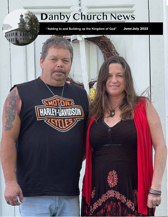# **D**anby Church News

**"Adding to and Building up the Kingdom of God"**

June/July 2022

 $\label{eq:2.1} \frac{1}{2} \left( \frac{1}{2} \, \frac{1}{2} \, \frac{1}{2} \, \frac{1}{2} \, \frac{1}{2} \, \frac{1}{2} \, \frac{1}{2} \, \frac{1}{2} \, \frac{1}{2} \, \frac{1}{2} \, \frac{1}{2} \, \frac{1}{2} \, \frac{1}{2} \, \frac{1}{2} \, \frac{1}{2} \, \frac{1}{2} \, \frac{1}{2} \, \frac{1}{2} \, \frac{1}{2} \, \frac{1}{2} \, \frac{1}{2} \, \frac{1}{2} \, \frac{$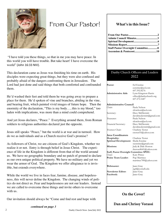

## From Our Pastor! **What's in this Issue?**

 "I have told you these things, so that in me you may have peace. In this world you will have trouble. But take heart! I have overcome the world" (John 16:33 NIV).

This declaration came as Jesus was finishing his time on earth. His disciples were expecting great things, but they were also confused and probably afraid of the dangers confronting them in Jerusalem. The Lord had just done and said things that both comforted and confounded them.

He'd washed their feet and told them he was going away to prepare a place for them. He'd spoken of vine and branches, abiding in the vine, and bearing fruit, which painted vivid images of future hope. Then the enormity of the declaration, "This is my body…, this is my blood," too laden with implications, was more than a mind could comprehend.

And yet Jesus declares, "Peace." Everything around them, from Roman soldiers to religious authorities declared just the opposite.

Jesus still speaks "Peace," but the world is at war and in turmoil. How do we as individuals and as a Church receive God's promise?

As followers of Christ, we are citizens of God's Kingdom, whether we realize it or not. Entry is through belief in Jesus Christ. The experience of life in the Kingdom is different from that of the world around us. We have no geographic boundary and no patch of ground to declare as our own unique political property. We have no military and yet we wear the armor of God. The Kingdom we offer allegiance to is invisible, but extends everywhere.

While the world we live in faces fear, famine, disease, and hopelessness, this will never define the Kingdom. The changing winds of politics do not direct us. Fear and hopelessness are not our leaders. Instead we are called to overcome these things and invite others to overcome with us.

Our invitation should always be "Come and find rest and hope with

*continued on page 3*

| Admin Council Minutes3                   |  |
|------------------------------------------|--|
|                                          |  |
|                                          |  |
| <b>Staff Pastor Oversight Committee8</b> |  |
|                                          |  |

#### Danby Church Officers and Leaders 2022

| Pastor:<br>Administrative Aide          | <b>Ed Enstine</b><br>eenstine@aol.com<br>607.592.8276<br>Lynn Kingston-Harris<br>office@danbychurch.org<br>607.272.1687 |
|-----------------------------------------|-------------------------------------------------------------------------------------------------------------------------|
| Administrative Council                  |                                                                                                                         |
| Chair:                                  | Paula Nelson                                                                                                            |
|                                         | sfcnelson@aol.com                                                                                                       |
| Secretary:                              | Dave McDermitt                                                                                                          |
|                                         | davidmcdermitt@gmail.com                                                                                                |
| Treasurer:                              | Paula Nelson                                                                                                            |
|                                         | sfcnelson@aol.com                                                                                                       |
| Financial Secretary:                    | Dave McDermitt                                                                                                          |
|                                         | davidmcdermitt@gmail.com                                                                                                |
| Trustees Chair:                         | Charlene Testut                                                                                                         |
|                                         | ctestut55@yahoo.com                                                                                                     |
| <b>Area Coordinators</b>                |                                                                                                                         |
| Hospitality:                            | Charlene Testut                                                                                                         |
| <b>Spiritual Development:</b>           | Sheila Enstine                                                                                                          |
|                                         | ssenstine@gmail.com                                                                                                     |
| Missions:                               | Judy & Dale Horton                                                                                                      |
|                                         | therose8641@yahoo.com                                                                                                   |
| Staff, Pastor Oversight Committee SPOC: |                                                                                                                         |
| Chair:<br>Praise Team Leader:           | Katy Prince                                                                                                             |
|                                         | Pup Martinez                                                                                                            |
|                                         | martinez789@yahoo.com                                                                                                   |
| Webmaster:                              | Janet Gray                                                                                                              |
|                                         | jsg4@cornell.edu                                                                                                        |
| Newsletter Editor:                      | Janet Gray                                                                                                              |
| Facebook:                               | Janet Gray                                                                                                              |
|                                         |                                                                                                                         |

### **On the Cover!**

**Dan and Chrissy Vorassi**

2 Danby Church News June/July 2022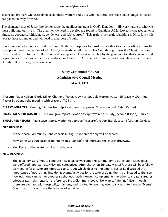#### *continued from page 2*

sisters and brothers who care about each others' welfare and walk with the Lord. Be brave and courageous. Jesus has paved the way forward."

The characteristics of Jesus' life demonstrate the qualities inherent in God's Kingdom. His very nature is what we must build into our lives. The qualities we need to develop are found in Galatians 5:22: "Love, joy, peace, patience, kindness, goodness, faithfulness, gentleness, and self-control." This fruit is the result of abiding in Him. It is a witness to those around us and will lead to a harvest of souls.

Pray ceaselessly for guidance and direction. Study the scriptures for wisdom. Gather together as often as possible for support. Seek the welfare of all. Always be ready to tell others what God, through Jesus the Christ, has done for you and can do for them. Be strong and courageous. Always remember by the grace of God that you are loved beyond measure and you are never abandoned or forsaken. All who believe in the Lord have already stepped into eternity. Be at peace, the war is won.

### **Danby Community Church Administrative Council Meeting May 9, 2022**

**Present:** Paula Nelson, Gloria Miller, Charlene Testut, Judy Horton, Dale Horton, Pastor Ed, Dave McDermitt. Pastor Ed opened the meeting with prayer at 7:04 pm.

**CLERK'S MINUTES:** Meeting minutes from April - motion to approve (Gloria), second (Dale), Carried.

**FINANCIAL SECRETARY REPORT:** Dave gave report. Motion to approve report (Judy), second (Gloria), Carried.

**TREASURER REPORT:** Paula gave report. Motion to approve Treasurer's report (Dale), second (Gloria), Carried.

#### **OLD BUSINESS:**

- **-** At the Ithaca Community Band concert in August, ice cream only will be served.
- **-** New stone was purchased from Robinson's (Candor) and improved the church driveway.
- **-** King Ferry bottled water service is under way.

#### **NEW BUSINESS:**

**-** The 'idea hamsters' met to generate new ideas to welcome the community to our church. Many ideas were offered (approximately 60) and categorized. After church on Sunday, May 15<sup>th</sup>, there will be a followup meeting for all who are interested to sort out which ideas to implement. Pastor Ed discussed the importance of not rushing into doing events/activities for the sake of doing them, but instead to first see how each one can tie into another so that each activity/event complements the other to create a greater effect/draw. In this regard, he referenced Brett Clemmer's book, "No Man Left Behind". Even though there are overlaps with hospitality, missions, and spirituality, we may eventually want to have an 'Events' Coordinator to coordinate these types of activities.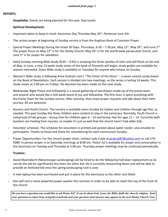#### **REPORTS.**

**Hospitality:** Events are being planned for this year. Stay tuned.

#### **Spiritual Development:**

- **-** Important dates to keep in mind: Ascension Day Thursday May 26th, Pentecost June 5th.
- **-** The unison prayer at beginning of Sunday service is from the Anglican Book of Common Prayer.
- **-** Special Prayer Meetings During the Great 50 Days: Thursdays, 6:30 7:30 pm, May 12th, May 26th, and June 2nd. The prayer focus on May 12<sup>th</sup> is for the Danby Church, May 26<sup>th</sup> is for the world-wide persecuted church, and June 5<sup>th</sup> is for prayer for salvations.
- **-** Adult Sunday morning Bible Study (8:45 9:45) is studying the three epistles of John and will finish at the end of May. In June, a new 13-week study series of the book of Proverbs will begin; study guides are available for anyone interested. Zoom Bible study is available on Tuesdays for anyone who misses on Sunday.
- **-** Women's Bible study is following Anne Graham Lotz's "The Vision of His Glory" a seven session study based on the Book of Revelations. Each session is divided into two meetings, so the series is lasting 14 weeks. This study meets at 1:00 pm on Fridays. No decision has been made on the next study.
- **-** Wednesday Night Praise and Fellowship is a casual gathering of worshipers made up of the praise team and anyone who would like a mid-week boost of joy and fellowship. The first hour is spent practicing with the Praise Team for the Sunday service. After worship, they share prayer requests and talk about their faith journey. All are welcome.
- **-** Nursery and Youth Church. The nursery is available every Sunday for babies and children through age five, as needed. This past Sunday the three children were content to stay in the sanctuary. Normally, Youth Church is comprised of two groups – Group One for children ages 6 – 10 and Group Two for ages 11 – 14. Currently both teachers are healing from injuries, so maybe it's just as well that the church hasn't had older kids.
- **-** Volunteer schedule. The schedule for volunteers is printed and posted above water cooler; also emailed to participants. Thanks to Paula and Diana for volunteering for each communion Sunday.
- **-** Prayer Opportunities. For the church prayer chain, contact Judy Cuyle at gnatcat87@yahoo.com or call 279- 5089. In person prayer is on Saturday mornings at 8:00 am. Pastor Ed is available for prayer and conversation in the Sanctuary on Tuesday and Thursday at 5:00 pm. Thursday prayer meetings may be continued periodically.

#### **Trustees:**

- **-** David Mastroberti (Naturescape Landscaping) will be hired to do the fellowship hall door replacement as he can do the job for significantly less than the other bid. He is currently researching doors and will be able to provide an itemized bid once the spring landscaping rush is over.
- **-** A new laptop has been purchased and put in place for the Sanctuary as the other one failed.
- **-** Dan will rent a more powerful power washer this summer in order to be able to reach the top of the front of the church.

*Do you have a question you would like to ask Pastor Ed? It can be about God, Jesus, the Bible, faith, the church, religion. Send your questions to Janet Gray at jsg4@cornell.edu and your question (and answer) may appear in the next Danby Church News*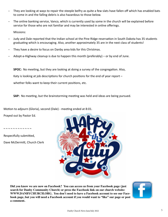- **-** They are looking at ways to repair the steeple belfry as quite a few slats have fallen off which has enabled bats to come in and the falling debris is also hazardous to those below.
- **-** The online banking service, Vanco, which is currently used by some in the church will be explained before service for those who are not familiar and may be interested in online offerings.

Missions:

- **-** Judy and Dale reported that the Indian school at the Pine Ridge reservation in South Dakota has 35 students graduating which is encouraging. Also, another approximately 35 are in the next class of students!
- **-** They have a desire to focus on Danby area kids for this Christmas.
- **-** Adopt-a-Highway cleanup is due to happen this month (preferably) or by end of June.

**SPOC:** No meeting, but they are looking at doing a survey of the congregation. Also, Katy is looking at job descriptions for church positions for the end of year report whether folks want to keep their current positions, etc.

**SAP:** No meeting, but the brainstorming meeting was held and ideas are being pursued.

Motion to adjourn (Gloria), second (Dale) - meeting ended at 8:01.

Prayed out by Pastor Ed.

~ ~ ~ ~ ~ ~ ~ ~ ~ ~

Respectfully submitted, Dave McDermitt, Church Clerk



**Did you know we are now on Facebook? You can access us from your Facebook page (just search for Danby Community Church) or press the Facebook link on our church website: WWW.DANBYCHURCH.ORG. You don't need to have a Facebook account to see our Facebook page, but you will need a Facebook account if you would want to "like" our page or post a comment.**

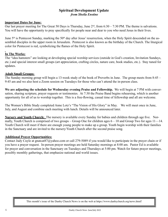#### **Spiritual Development Update**  *from Sheila Enstine*

#### **Important Dates for June:**

Our last prayer meeting for The Great 50 Days is Thursday, June  $2<sup>nd</sup>$ , from  $6:30 - 7:30$  PM. The theme is salvations. You will have the opportunity to pray specifically for people near and dear to you who need Jesus in their lives.

June 5<sup>th</sup> is Pentecost Sunday, marking the 50<sup>th</sup> day after Jesus' resurrection, when the Holy Spirit descended on the assembled disciples in the upper room in Jerusalem. Pentecost is also known as the birthday of the Church. The liturgical color for Pentecost is red, symbolizing the flames of the Holy Spirit.

#### **In The Works:**

The "idea hamsters" are looking at developing special worship services (outside in God's creation, Invitation Sundays, etc.) and special interest small groups (art appreciation, crafting circles, nature care, book studies, etc.). Stay tuned for updates.

#### **Adult Small Groups:**

The Sunday morning group will begin a 13-week study of the book of Proverbs in June. The group meets from 8:45 – 9:45 am and we also host a Zoom session on Tuesdays for those who can't attend the in-person class.

**We are adjusting the schedule for Wednesday evening Praise and Fellowship.** We will begin at 7 PM with conversation, sharing scripture, prayer requests or testimonies. At 7:30 the Praise Band begins rehearsing, which is another opportunity for all of us to worship together. This is a free-flowing, casual time of fellowship and all are welcome.

The Women's Bible Study completed Anne Lotz's "The Vision of His Glory" in May. We will meet once in June, July, and August and combine each meeting with lunch. Details will be announced later.

**Nursery and Youth Church:** The nursery is available every Sunday for babies and children through age five. Normally, Youth Church is comprised of two groups – Group One for children ages 6 – 10 and Group Two for ages 11—14. Youth Church will meet if there are enough young people to make up a group. Youth begin worship with their families in the Sanctuary and are invited to the nursery/Youth Church after the second praise song.

#### **Additional Prayer Opportunities:**

Contact Judy Cuyle at gnatcat87@yahoo.com or call 279-5089 if you would like to participate in the prayer chain or if you have a prayer request. In-person prayer meetings are held Saturday mornings at 8:00 am. Pastor Ed is available for prayer and conversation in the Sanctuary on Tuesdays and Thursdays at 5:00 pm. Watch for future prayer meetings, possibly monthly gatherings, that emphasize national and world issues.

This month's issue of the Danby Church News is on the web at https://www.danbychurch.org/news.html!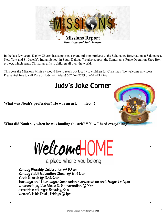

In the last few years, Danby Church has supported several mission projects to the Salamanca Reservation at Salamanca, New York and St. Joseph's Indian School in South Dakota. We also support the Samaritan's Purse Operation Shoe Box project, which sends Christmas gifts to children all over the world.

This year the Missions Ministry would like to reach out locally to children for Christmas. We welcome any ideas. Please feel free to call Dale or Judy with ideas! 607 564 7749 or 607 423 4748.

# Judy's Joke Corner

**What was Noah's profession? He was an ark——itect !!** 



What did Noah say when he was loading the ark? "Now I herd everything!



a place where you belong

**Sunday Worship Celebration @ 10 am Sunday Adult Education Class @ 8:45am Youth Church @ 10:30am Tuesdays and Thursdays, Communion, Conversation and Prayer 5-6pm Wednesdays, Live Music & Conversation @ 7pm Sweet Hour of Prayer, Saturday, 8am Women's Bible Study, Fridays @ 1pm**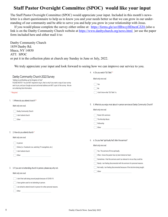### **Staff Pastor Oversight Committee (SPOC) would like your input**

The Staff Pastor Oversight Committee (SPOC) would appreciate your input. Included in this month's newsletter is a short questionnaire to help us to know you and your needs better so that we can grow in our understanding of our community and be able to serve you and help you grow in your relationship with Jesus.

If you would please complete the survey either online at: https://forms.gle/ssvHBwcyHDncnCZZ6 (also a link is on the Danby Community Church website at https://www.danbychurch.org/news.html ) or use the paper form included here and either mail it to:

Danby Community Church 1859 Danby Rd. Ithaca, NY 14850 ATT: SPOC or put it in the collection plate at church any Sunday in June or July, 2022.

We truly appreciate your input and look forward to seeing how we can improve our service to you.

|                                                                                                                                                                                                                                                                                                                          | 4.<br>4. Do you watch "Ed Talks"                                                                               |
|--------------------------------------------------------------------------------------------------------------------------------------------------------------------------------------------------------------------------------------------------------------------------------------------------------------------------|----------------------------------------------------------------------------------------------------------------|
| Danby Community Church 2022 Survey<br>"Adding to and Building up the Kingdom of God"<br>PLEASE NOTE!!! You are NOT required to log in, that is only if you want a copy of your survey<br>sent to you, and your Google account and email address are NOT a part of the survey. We are<br>not collecting that information. | Mark only one oval.<br>Yes<br>No                                                                               |
| * Required                                                                                                                                                                                                                                                                                                               | I don't know what "Ed Talks" is.                                                                               |
| 1. 1. Where do you attend church? *                                                                                                                                                                                                                                                                                      |                                                                                                                |
| Mark only one oval.                                                                                                                                                                                                                                                                                                      | 5. What do you enjoy most about in-person services at Danby Community Church?<br>5.                            |
| Danby Community Church                                                                                                                                                                                                                                                                                                   | Mark only one oval.                                                                                            |
| don't attend church                                                                                                                                                                                                                                                                                                      | Pastor Ed's sermons                                                                                            |
| Other:                                                                                                                                                                                                                                                                                                                   | The Worship Music                                                                                              |
|                                                                                                                                                                                                                                                                                                                          | Fellowship                                                                                                     |
|                                                                                                                                                                                                                                                                                                                          | Other:                                                                                                         |
| 2. 2. How do you attend church *                                                                                                                                                                                                                                                                                         |                                                                                                                |
| Mark only one oval.                                                                                                                                                                                                                                                                                                      |                                                                                                                |
| In person                                                                                                                                                                                                                                                                                                                | 6. Do you feel "spiritually fed" after the sermon?<br>6.                                                       |
| Online (i.e. Facebook Live, watching TV evangelists, etc.)                                                                                                                                                                                                                                                               | Mark only one oval.                                                                                            |
| I don't attend church                                                                                                                                                                                                                                                                                                    | Yes. The sermons fill me spiritually.                                                                          |
| Other:                                                                                                                                                                                                                                                                                                                   | Often. I know the pastor has my best interest at heart.                                                        |
|                                                                                                                                                                                                                                                                                                                          | Sometimes. I feel the sermons aren't as relevant to me as they could be.                                       |
|                                                                                                                                                                                                                                                                                                                          | Rarely. I am feeling disconnected with the sermons for personal reasons.                                       |
| 3. 3. If you are not attending church in person, please say why not.                                                                                                                                                                                                                                                     | Not really. I am feeling disconnected because of the doctrine being taught.                                    |
| Mark only one oval.                                                                                                                                                                                                                                                                                                      | Other: and the contract of the contract of the contract of the contract of the contract of the contract of the |
| I don't feel safe being around people because of COVID-19.                                                                                                                                                                                                                                                               |                                                                                                                |
| I have gotten used to not attending in person.                                                                                                                                                                                                                                                                           |                                                                                                                |
| I am afraid to attend church in person for other personal reasons.                                                                                                                                                                                                                                                       |                                                                                                                |
| Other:                                                                                                                                                                                                                                                                                                                   |                                                                                                                |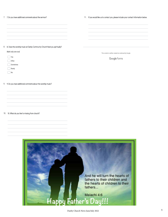#### 7. 7. Do you have additional comments about the sermon?

11. If you would like us to contact you, please include your contact information below.

#### 8. 8. Does the worship music at Danby Community Church feed you spiritually?

*Mark only one oval.*

Yes

 $\bigcirc$  Often

Sometimes

Rarely

No

9. 9. Do you have additional comments about the worship music?

This content is neither created nor endorsed by Google.

Google Forms

#### 10. 10. What do you feel is missing from church?

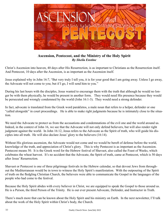

**Ascension, Pentecost, and the Ministry of the Holy Spirit**  *By Sheila Enstine*

Christ's Ascension into heaven, 40 days after His Resurrection, is as important to Christians as the Resurrection itself. And Pentecost, 10 days after the Ascension, is as important as the Ascension itself.

Jesus explained why in John 16:7, "But very truly I tell you, it is for your good that I am going away. Unless I go away, the Advocate will not come to you; but if I go, I will send him to you."

During his last hours with the disciples, Jesus wanted to encourage them with the truth that although he would no longer be with them physically, he would be present in another form. They would need His presence because they would be persecuted and wrongly condemned by the world (John 16:1-3). They would need a strong defender.

In fact, advocate is translated from the Greek word parakletos, a male noun that refers to a helper, defender or one "called alongside" in court proceedings. He is able to make right judgments because he is intimately close to the situation.

We need the Advocate to protect us from the accusations and condemnations of the evil one and the world around us. Indeed, in the context of John 16, we see that the Advocate will not only defend believers, but will also render right judgment against the world. In John 16:12, Jesus refers to the Advocate as the Spirit of truth, who will guide his disciples into all truth. He will also declare Jesus' glory to the believers (16:14).

Without His glorious ascension, the Advocate would not come and we would be bereft of defense before the world, knowledge of the truth, and appreciation of Christ's glory. This is why Pentecost is as important as the Ascension. Pentecost means 50. It is the Greek word for the Hebrew festival of Shavuot, also called the Feast of Weeks, which celebrates the wheat harvest. It's no accident that the Advocate, the Spirit of truth, came at Pentecost, which is 50 days after Jesus' Resurrection.

Shavuot or Pentecost is one of three pilgrimage festivals in the Hebrew calendar, so that devout Jews from throughout the Mediterranean would be in town to witness the Holy Spirit's manifestation. With the outpouring of the Spirit of truth on the fledgling Christian Church, the believers were able to communicate the Gospel in the languages of the people who had come to the festival.

Because the Holy Spirit abides with every believer in Christ, we are equipped to speak the Gospel to those around us. He is a Person, the third Person of the Trinity. He is our ever present Advocate, Defender, and Instructor in Truth.

There's much more that can be known about the Holy Spirit and his ministry on Earth. In the next newsletter, I'll talk about the work of the Holy Spirit within Christ's body, the Church.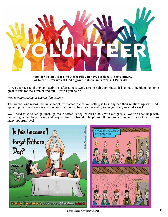

**Each of you should use whatever gift you have received to serve others, as faithful stewards of God's grace in its various forms. 1 Peter 4:10**

As we get back to church and activities after almost two years on being on hiatus, it is good to be planning some great events for the summer and fall. Won't you help?

#### *Why is volunteering at church important?*

The number one reason that most people volunteer in a church setting is to strengthen their relationship with God. Spending increased amounts of time in the church enhances your ability to do your duty — God's work.

We'll need folks to set up, clean up, make coffee, scoop ice cream, talk with our guests. We also need help with marketing, technology, music, and prayer. Invite a friend to help! We all have something to offer and there are so many opportunities!